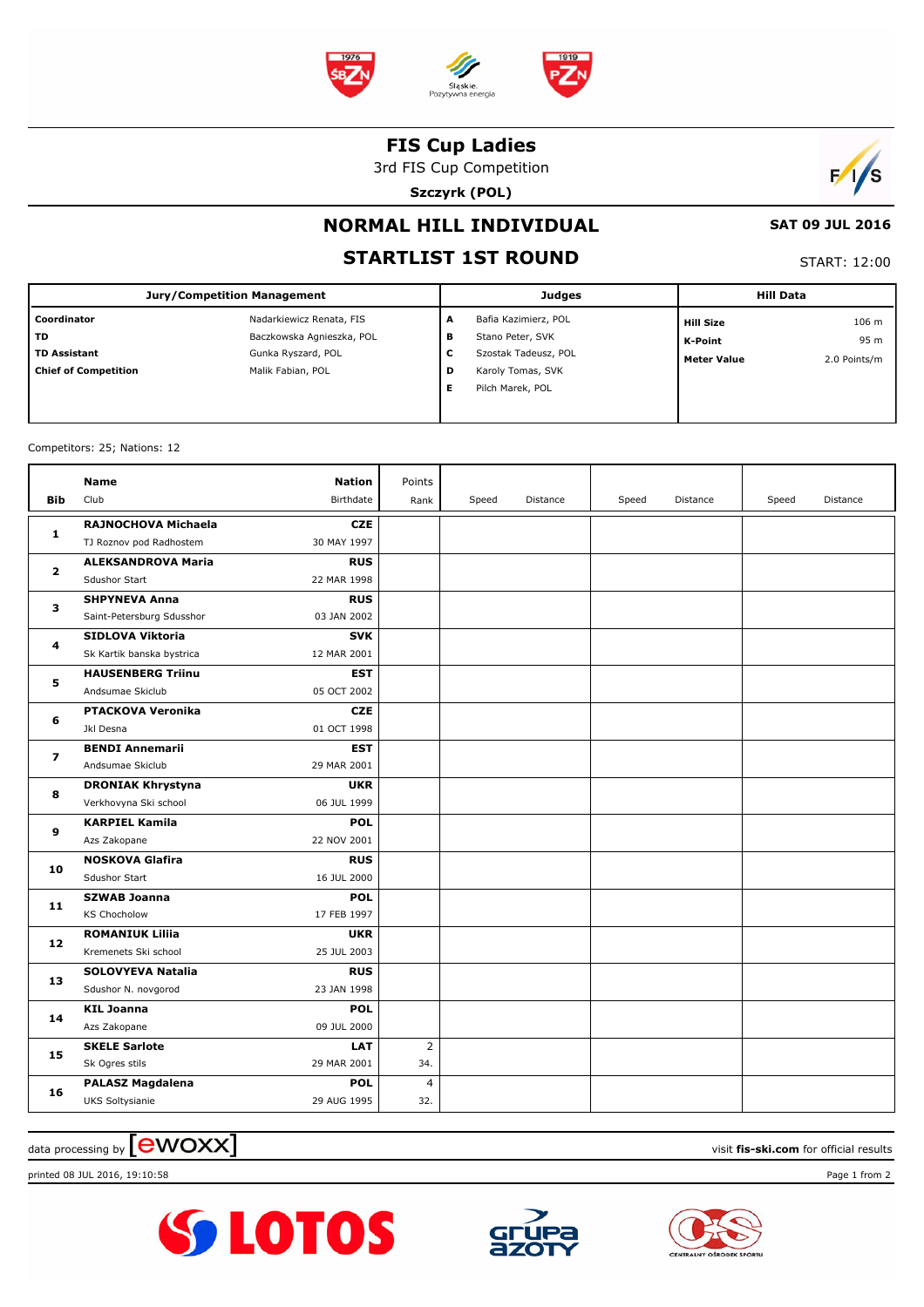

#### **FIS Cup Ladies**

3rd FIS Cup Competition

**Szczyrk (POL)**



# **NORMAL HILL INDIVIDUAL**

### **STARTLIST 1ST ROUND**

START: 12:00

 **SAT 09 JUL 2016**

| <b>Jury/Competition Management</b> |                           |   | <b>Judges</b>        | <b>Hill Data</b> |                    |              |
|------------------------------------|---------------------------|---|----------------------|------------------|--------------------|--------------|
| Coordinator                        | Nadarkiewicz Renata, FIS  | A | Bafia Kazimierz, POL |                  | <b>Hill Size</b>   | 106 m        |
| <b>TD</b>                          | Baczkowska Agnieszka, POL | в | Stano Peter, SVK     |                  | K-Point            | 95 m         |
| <b>TD Assistant</b>                | Gunka Ryszard, POL        | c | Szostak Tadeusz, POL |                  | <b>Meter Value</b> | 2.0 Points/m |
| <b>Chief of Competition</b>        | Malik Fabian, POL         | D | Karoly Tomas, SVK    |                  |                    |              |
|                                    |                           | Е | Pilch Marek, POL     |                  |                    |              |
|                                    |                           |   |                      |                  |                    |              |

Competitors: 25; Nations: 12

| Bib            | Name<br>Club                                   | <b>Nation</b><br>Birthdate | Points<br>Rank | Speed | Distance | Speed | Distance | Speed | Distance |
|----------------|------------------------------------------------|----------------------------|----------------|-------|----------|-------|----------|-------|----------|
| 1              | RAJNOCHOVA Michaela<br>TJ Roznov pod Radhostem | <b>CZE</b><br>30 MAY 1997  |                |       |          |       |          |       |          |
| $\mathbf{2}$   | <b>ALEKSANDROVA Maria</b>                      | <b>RUS</b>                 |                |       |          |       |          |       |          |
|                | Sdushor Start                                  | 22 MAR 1998                |                |       |          |       |          |       |          |
| 3              | <b>SHPYNEVA Anna</b>                           | <b>RUS</b>                 |                |       |          |       |          |       |          |
|                | Saint-Petersburg Sdusshor                      | 03 JAN 2002                |                |       |          |       |          |       |          |
| 4              | SIDLOVA Viktoria                               | <b>SVK</b>                 |                |       |          |       |          |       |          |
|                | Sk Kartik banska bystrica                      | 12 MAR 2001                |                |       |          |       |          |       |          |
| 5              | <b>HAUSENBERG Triinu</b>                       | <b>EST</b>                 |                |       |          |       |          |       |          |
|                | Andsumae Skiclub                               | 05 OCT 2002                |                |       |          |       |          |       |          |
| 6              | <b>PTACKOVA Veronika</b>                       | <b>CZE</b>                 |                |       |          |       |          |       |          |
|                | Jkl Desna                                      | 01 OCT 1998                |                |       |          |       |          |       |          |
| $\overline{ }$ | <b>BENDI Annemarii</b>                         | <b>EST</b>                 |                |       |          |       |          |       |          |
|                | Andsumae Skiclub                               | 29 MAR 2001                |                |       |          |       |          |       |          |
| 8              | <b>DRONIAK Khrystyna</b>                       | <b>UKR</b>                 |                |       |          |       |          |       |          |
|                | Verkhovyna Ski school                          | 06 JUL 1999                |                |       |          |       |          |       |          |
| 9              | <b>KARPIEL Kamila</b>                          | <b>POL</b>                 |                |       |          |       |          |       |          |
|                | Azs Zakopane                                   | 22 NOV 2001                |                |       |          |       |          |       |          |
| 10             | <b>NOSKOVA Glafira</b>                         | <b>RUS</b>                 |                |       |          |       |          |       |          |
|                | Sdushor Start                                  | 16 JUL 2000                |                |       |          |       |          |       |          |
| 11             | <b>SZWAB Joanna</b>                            | <b>POL</b>                 |                |       |          |       |          |       |          |
|                | <b>KS Chocholow</b>                            | 17 FEB 1997                |                |       |          |       |          |       |          |
| 12             | <b>ROMANIUK Liliia</b>                         | <b>UKR</b>                 |                |       |          |       |          |       |          |
|                | Kremenets Ski school                           | 25 JUL 2003                |                |       |          |       |          |       |          |
| 13             | SOLOVYEVA Natalia                              | <b>RUS</b>                 |                |       |          |       |          |       |          |
|                | Sdushor N. novgorod                            | 23 JAN 1998                |                |       |          |       |          |       |          |
| 14             | <b>KIL Joanna</b>                              | <b>POL</b>                 |                |       |          |       |          |       |          |
|                | Azs Zakopane                                   | 09 JUL 2000                |                |       |          |       |          |       |          |
| 15             | <b>SKELE Sarlote</b>                           | <b>LAT</b>                 | $\overline{2}$ |       |          |       |          |       |          |
|                | Sk Ogres stils                                 | 29 MAR 2001                | 34.            |       |          |       |          |       |          |
| 16             | <b>PALASZ Magdalena</b>                        | <b>POL</b>                 | 4              |       |          |       |          |       |          |
|                | UKS Soltysianie                                | 29 AUG 1995                | 32.            |       |          |       |          |       |          |

 $\frac{1}{2}$  data processing by  $\boxed{\text{ewOX}}$ 

printed 08 JUL 2016, 19:10:58 Page 1 from 2